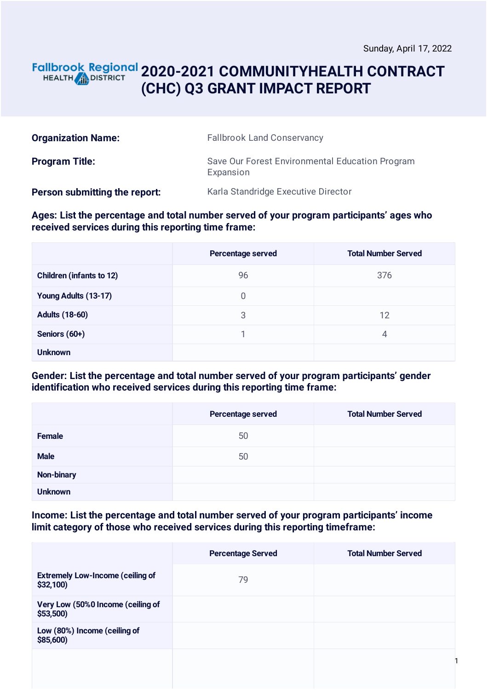### **2020-2021 COMMUNITYHEALTH CONTRACT** HEALTH **AND DISTRICT (CHC) Q3 GRANT IMPACT REPORT**

| <b>Organization Name:</b>     | <b>Fallbrook Land Conservancy</b>                            |
|-------------------------------|--------------------------------------------------------------|
| <b>Program Title:</b>         | Save Our Forest Environmental Education Program<br>Expansion |
| Person submitting the report: | Karla Standridge Executive Director                          |

**Ages: List the percentage and total number served of your program participants' ages who received services during this reporting time frame:**

|                                 | Percentage served | <b>Total Number Served</b> |
|---------------------------------|-------------------|----------------------------|
| <b>Children (infants to 12)</b> | 96                | 376                        |
| Young Adults (13-17)            | 0                 |                            |
| <b>Adults (18-60)</b>           | 3                 | 12                         |
| Seniors (60+)                   |                   | 4                          |
| <b>Unknown</b>                  |                   |                            |

**Gender: List the percentage and total number served of your program participants' gender identification who received services during this reporting time frame:**

|                | Percentage served | <b>Total Number Served</b> |
|----------------|-------------------|----------------------------|
| Female         | 50                |                            |
| <b>Male</b>    | 50                |                            |
| Non-binary     |                   |                            |
| <b>Unknown</b> |                   |                            |

**Income: List the percentage and total number served of your program participants' income limit category of those who received services during this reporting timeframe:**

|                                                     | <b>Percentage Served</b> | <b>Total Number Served</b> |
|-----------------------------------------------------|--------------------------|----------------------------|
| <b>Extremely Low-Income (ceiling of</b><br>\$32,100 | 79                       |                            |
| Very Low (50%0 Income (ceiling of<br>\$53,500       |                          |                            |
| Low (80%) Income (ceiling of<br>\$85,600)           |                          |                            |
|                                                     |                          |                            |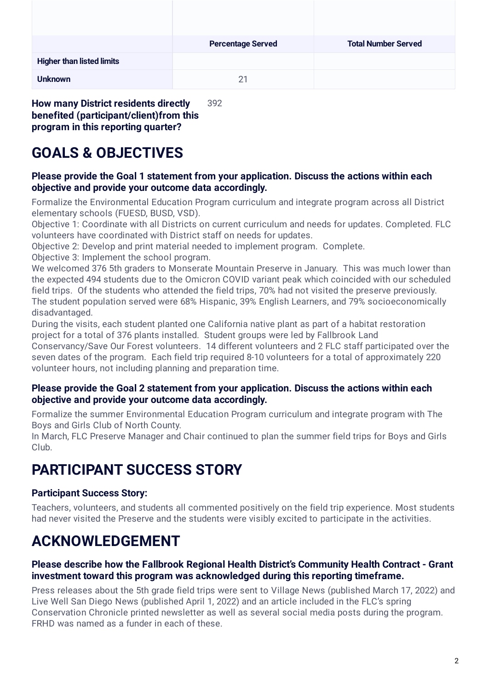| <b>Percentage Served</b> | <b>Total Number Served</b> |
|--------------------------|----------------------------|
|                          |                            |
| 21                       |                            |
|                          |                            |

**How many District residents directly benefited (participant/client)from this program in this reporting quarter?** 392

# **GOALS & OBJECTIVES**

#### **Please provide the Goal 1 statement from your application. Discuss the actions within each objective and provide your outcome data accordingly.**

Formalize the Environmental Education Program curriculum and integrate program across all District elementary schools (FUESD, BUSD, VSD).

Objective 1: Coordinate with all Districts on current curriculum and needs for updates. Completed. FLC volunteers have coordinated with District staff on needs for updates.

Objective 2: Develop and print material needed to implement program. Complete.

Objective 3: Implement the school program.

We welcomed 376 5th graders to Monserate Mountain Preserve in January. This was much lower than the expected 494 students due to the Omicron COVID variant peak which coincided with our scheduled field trips. Of the students who attended the field trips, 70% had not visited the preserve previously. The student population served were 68% Hispanic, 39% English Learners, and 79% socioeconomically disadvantaged.

During the visits, each student planted one California native plant as part of a habitat restoration project for a total of 376 plants installed. Student groups were led by Fallbrook Land

Conservancy/Save Our Forest volunteers. 14 different volunteers and 2 FLC staff participated over the seven dates of the program. Each field trip required 8-10 volunteers for a total of approximately 220 volunteer hours, not including planning and preparation time.

#### **Please provide the Goal 2 statement from your application. Discuss the actions within each objective and provide your outcome data accordingly.**

Formalize the summer Environmental Education Program curriculum and integrate program with The Boys and Girls Club of North County.

In March, FLC Preserve Manager and Chair continued to plan the summer field trips for Boys and Girls Club.

# **PARTICIPANT SUCCESS STORY**

## **Participant Success Story:**

Teachers, volunteers, and students all commented positively on the field trip experience. Most students had never visited the Preserve and the students were visibly excited to participate in the activities.

# **ACKNOWLEDGEMENT**

### **Please describe how the Fallbrook Regional Health District's Community Health Contract - Grant investment toward this program was acknowledged during this reporting timeframe.**

Press releases about the 5th grade field trips were sent to Village News (published March 17, 2022) and Live Well San Diego News (published April 1, 2022) and an article included in the FLC's spring Conservation Chronicle printed newsletter as well as several social media posts during the program. FRHD was named as a funder in each of these.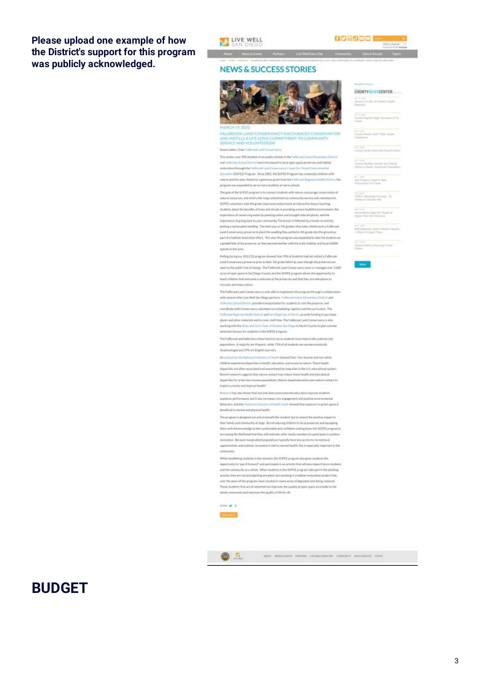#### Please upload one example of how the District's support for this program was publicly acknowledged.





.<br>Inch Distribution Street

### out Newthern Petron LiveWeller **NEWS & SUCCESS STORIES**



FAILBROOK LAND CONSERWANCY ENCOURAGES CONSERVATION<br>AND INSTILLS A LIFE-LONG COMMITMENT TO COMMUNITY<br>SERVICE AND VOLUNTEERISM

Sasan/Liebes, Chair, Falterson Land Conservance

This winter, over 900 students from public schools in the Fullmovic Green Demontary Club int and Valle Hot School District were introduced to local open-space preserves and habitat. multimation through the Fallowsk Land C y's law Our Ferret Eryty Education (SOFE) Program, Since 2005, the SOFEE Program has connected children with ture and this year, thenks to a generous grant from the Fullbrook Regional Health Division, the program was expended to serve more students at more schools.

The goal of the SCREE program is to convect students with nature, enspurses communicated of resources, and instit a life-long contentment to concrurely service and volunte SOFEE volunteers visit 4th grade classrooms and present an interactive lesson teaching womits about the benefits of trees and shrubs in providing a more healthful envi importance of comvening water by planting metha and dropply tolerant plants, and the importance of giving book to your community. The lesson is followed by a hands on activity potting a nation plant seedling. The next year as 100-graders they take a field trip to a Talifanois  $\label{thm:main} \text{Lard Curvary-} is an integer the sending they provide different in the general as. \textit{part of a lattice tensor, we will have a complete to take the transformation of the P. This is an integer and appropriate to take the transformation.}$ a guided hila of the preserve, as they become fundiar with the trade, habitat, and local widths species in the area.

Poling Ayring our 2021/22 program showed that 70% of students had not visited a flatbrook Land Commercency preserve prior to their 5th grade felicitrip, even though the preserves are<br>upon to the public free of charge. The Fatterook Land Commercency overs or manages over 3,000 acres of open space in San Diego County and the SOFEE program allows the opportunity to tiouth children that everyone is welcome at the preserved and that they are seleptions to recreate and enjoymature.

The Faithnest Land Conservancy is only able to inigliement this program through a collab with several other Live Wed San Diagogue bees. Fathered Union (Tempelary District and mates has been at the met genode transportation for muderite to visit the presence, and<br>coordinate with Conservancy volunteers on scheduling, inginities and the curriculum. The Fathmen Replorat Health Dismich and San Diego Ges & Electric provider Andreg to purchase plants and other materials and to cover staff time. The Faltbrook Land Conservancy is also working with the Boys and Cirty Clubs of Croster Set-Degrile North Coasty to plan summer extension lessons for students in the SOFEE program.

The Fallbrook and Vallesbox ratioal/districts serve students from histurically underpopulations. A majority are Hispanic, while 71% of all students are socioaconomically disabattagedate 29% are English Learners

An assistable the National hot based to showed that. Townhome and non white shift an experience departies in health, education, and access to nature. These health dispartition are offsee associated and ouscorbated by inequities in the U.S. subjectional system Recent research suggests that nature contact may reduce these health and educational disputibles for urban low income populations. Nature based education constrators contact to Inspire custosity and insprese health"

Terment has also shown that not only does mixturemental education in ecationic performance, but it also increases civic engagement and positive environmental behaviors, Another National Institutes of Health study showed that exposure to green space is breveficial to mental and physical health

The program is designed not soly to be nefet the student, but to extend the positive impact to their family and community at large. By introducing children to local preserves and equipping then with the knowledge to her comfortable and confident skilling them, the SOFEE program is in enough the likelihood that they will restivate other family members to participate in outstand recreation. Because marginalized populations typically have less access to recreational apportunities, and cutatoer necreation is tied to mental health, this is especially important in the committe.

While benefitting students in the moment, the SOFEE program also gives students the appartunity to "pay it forward" and participate in an activity that will also impact future student<br>and the community as a whole, When students in the SOFEE program take part in the planting activity, they are not just planting one plant. But assisting in allution instockion project that,<br>see the years of the program, have marked in many acres of step your lind being restored. These students' first act of volunteerium improves the quality of open space accessible to the shoke community and improves the quality of life for all.



西里

and the stationary construction construction construction and

# **RUDGET**

COUNTYWER/CENTER the receivers from Secret C

is a see<br>Courty Huserta High Chursees in Pie

in à site<br>Cauchy Henrick (2022 Politic Health)

or a page<br>County Library Branches Capacit Heads

.<br>Dorta Malifest Issuirre and Theory.<br>Horta to Rawat Guineration Prayments

is Chapes Liqui to Taxe

a jezi<br>06:0: Alfastate veneral - 28<br>11:1: et Danum Vila

collabora (digas) ha Parada ist.<br>Involtas from Informac

**Hay District Decision Research** 

e i inn<br>Noarez Batan Tirauang Pisate<br>Mata